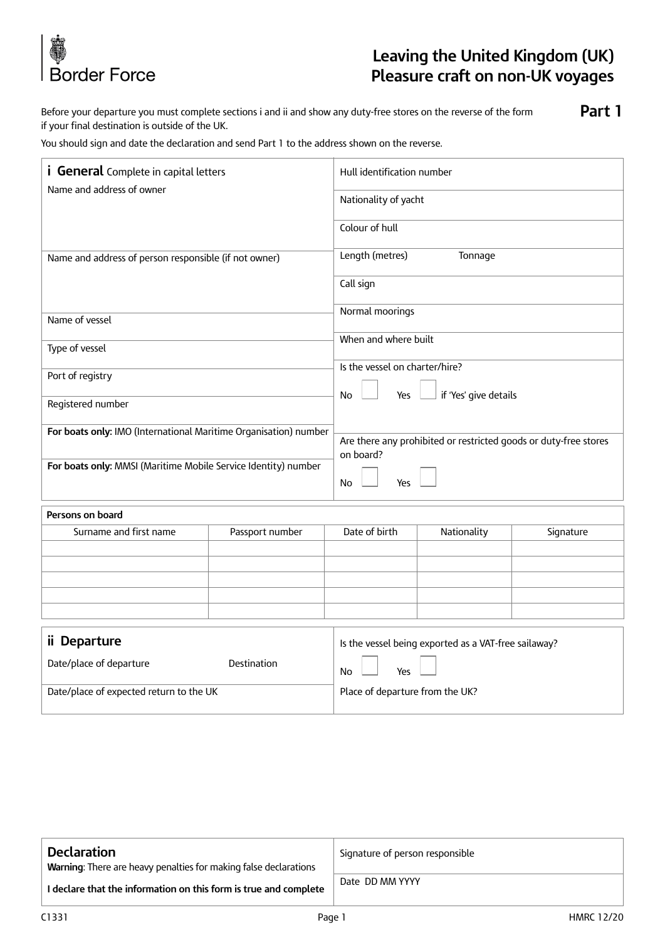

# **Leaving the United Kingdom (UK) Pleasure craft on non-UK voyages**

Before your departure you must complete sections i and ii and show any duty-free stores on the reverse of the form if your final destination is outside of the UK. **Part 1**

You should sign and date the declaration and send Part 1 to the address shown on the reverse.

| <i>i</i> General Complete in capital letters<br>Name and address of owner                                                          |             | Hull identification number                                                                 |  |  |                        |                 |               |             |           |
|------------------------------------------------------------------------------------------------------------------------------------|-------------|--------------------------------------------------------------------------------------------|--|--|------------------------|-----------------|---------------|-------------|-----------|
|                                                                                                                                    |             | Nationality of yacht                                                                       |  |  |                        |                 |               |             |           |
|                                                                                                                                    |             | Colour of hull                                                                             |  |  |                        |                 |               |             |           |
| Name and address of person responsible (if not owner)                                                                              |             | Length (metres)<br>Tonnage                                                                 |  |  |                        |                 |               |             |           |
|                                                                                                                                    |             | Call sign                                                                                  |  |  |                        |                 |               |             |           |
| Name of vessel                                                                                                                     |             | Normal moorings                                                                            |  |  |                        |                 |               |             |           |
|                                                                                                                                    |             | When and where built<br>Is the vessel on charter/hire?                                     |  |  |                        |                 |               |             |           |
| Type of vessel                                                                                                                     |             |                                                                                            |  |  |                        |                 |               |             |           |
|                                                                                                                                    |             |                                                                                            |  |  |                        |                 |               |             |           |
| Port of registry                                                                                                                   |             |                                                                                            |  |  |                        |                 |               |             |           |
| Registered number                                                                                                                  |             | if 'Yes' give details<br>No<br>Yes                                                         |  |  |                        |                 |               |             |           |
| For boats only: IMO (International Maritime Organisation) number<br>For boats only: MMSI (Maritime Mobile Service Identity) number |             | Are there any prohibited or restricted goods or duty-free stores<br>on board?<br>Yes<br>No |  |  |                        |                 |               |             |           |
|                                                                                                                                    |             |                                                                                            |  |  | Persons on board       |                 |               |             |           |
|                                                                                                                                    |             |                                                                                            |  |  | Surname and first name | Passport number | Date of birth | Nationality | Signature |
|                                                                                                                                    |             |                                                                                            |  |  |                        |                 |               |             |           |
|                                                                                                                                    |             |                                                                                            |  |  |                        |                 |               |             |           |
|                                                                                                                                    |             |                                                                                            |  |  |                        |                 |               |             |           |
|                                                                                                                                    |             |                                                                                            |  |  |                        |                 |               |             |           |
|                                                                                                                                    |             |                                                                                            |  |  |                        |                 |               |             |           |
| ii Departure                                                                                                                       |             | Is the vessel being exported as a VAT-free sailaway?                                       |  |  |                        |                 |               |             |           |
| Date/place of departure                                                                                                            | Destination | Yes<br>No                                                                                  |  |  |                        |                 |               |             |           |
| Date/place of expected return to the UK                                                                                            |             | Place of departure from the UK?                                                            |  |  |                        |                 |               |             |           |

| <b>Declaration</b><br><b>Warning:</b> There are heavy penalties for making false declarations | Signature of person responsible |  |
|-----------------------------------------------------------------------------------------------|---------------------------------|--|
| I declare that the information on this form is true and complete                              | Date DD MM YYYY                 |  |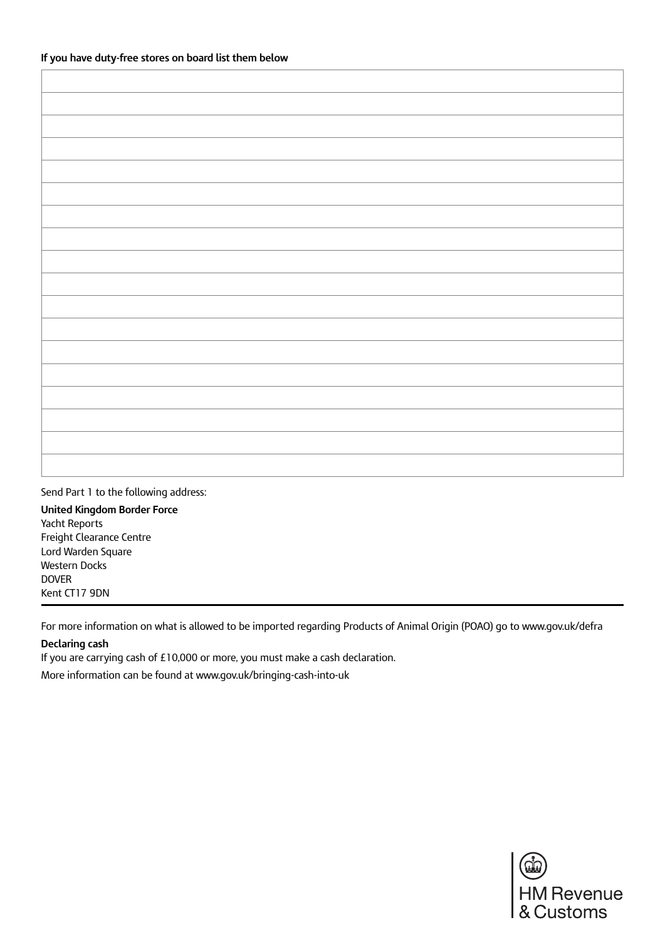Send Part 1 to the following address: **United Kingdom Border Force**

Yacht Reports Freight Clearance Centre Lord Warden Square Western Docks DOVER Kent CT17 9DN

For more information on what is allowed to be imported regarding Products of Animal Origin (POAO) go to www.gov.uk/defra

#### **Declaring cash**

If you are carrying cash of £10,000 or more, you must make a cash declaration.

More information can be found at www.gov.uk/bringing-cash-into-uk

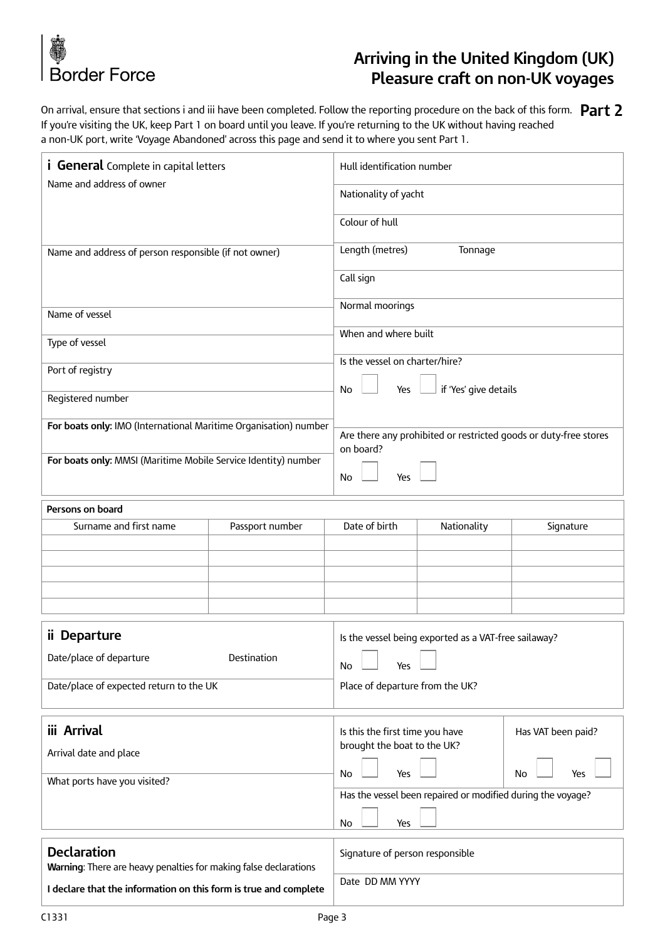

# **Arriving in the United Kingdom (UK) Pleasure craft on non-UK voyages**

On arrival, ensure that sections i and iii have been completed. Follow the reporting procedure on the back of this form. **Part 2** If you're visiting the UK, keep Part 1 on board until you leave. If you're returning to the UK without having reached a non-UK port, write 'Voyage Abandoned' across this page and send it to where you sent Part 1.

| <i>i</i> General Complete in capital letters                                           |                 | Hull identification number                                               |             |           |  |
|----------------------------------------------------------------------------------------|-----------------|--------------------------------------------------------------------------|-------------|-----------|--|
| Name and address of owner                                                              |                 | Nationality of yacht                                                     |             |           |  |
|                                                                                        |                 | Colour of hull                                                           |             |           |  |
| Name and address of person responsible (if not owner)                                  |                 | Length (metres)<br>Tonnage                                               |             |           |  |
|                                                                                        |                 | Call sign                                                                |             |           |  |
| Name of vessel                                                                         |                 | Normal moorings                                                          |             |           |  |
| Type of vessel                                                                         |                 | When and where built                                                     |             |           |  |
| Port of registry                                                                       |                 | Is the vessel on charter/hire?<br>if 'Yes' give details<br>No<br>Yes     |             |           |  |
| Registered number                                                                      |                 |                                                                          |             |           |  |
| For boats only: IMO (International Maritime Organisation) number                       |                 | Are there any prohibited or restricted goods or duty-free stores         |             |           |  |
| For boats only: MMSI (Maritime Mobile Service Identity) number                         |                 | on board?<br><b>No</b><br>Yes                                            |             |           |  |
| Persons on board                                                                       |                 |                                                                          |             |           |  |
| Surname and first name                                                                 | Passport number | Date of birth                                                            | Nationality | Signature |  |
|                                                                                        |                 |                                                                          |             |           |  |
|                                                                                        |                 |                                                                          |             |           |  |
|                                                                                        |                 |                                                                          |             |           |  |
|                                                                                        |                 |                                                                          |             |           |  |
| ii Departure                                                                           |                 | Is the vessel being exported as a VAT-free sailaway?                     |             |           |  |
| Date/place of departure<br>Destination                                                 |                 | No<br>Yes                                                                |             |           |  |
| Date/place of expected return to the UK                                                |                 | Place of departure from the UK?                                          |             |           |  |
| iii Arrival                                                                            |                 | Is this the first time you have<br>Has VAT been paid?                    |             |           |  |
| Arrival date and place                                                                 |                 | brought the boat to the UK?                                              |             |           |  |
| What ports have you visited?                                                           |                 | Yes<br>Yes<br>No<br>No                                                   |             |           |  |
|                                                                                        |                 | Has the vessel been repaired or modified during the voyage?<br>No<br>Yes |             |           |  |
|                                                                                        |                 |                                                                          |             |           |  |
| <b>Declaration</b><br>Warning: There are heavy penalties for making false declarations |                 | Signature of person responsible                                          |             |           |  |
|                                                                                        |                 | Date DD MM YYYY                                                          |             |           |  |

**I declare that the information on this form is true and complete**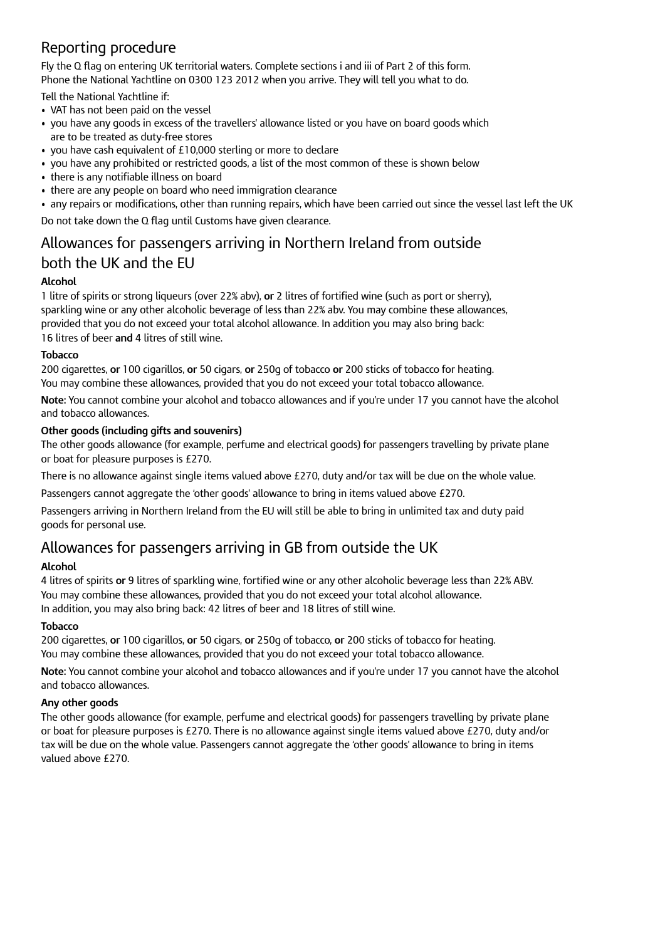## Reporting procedure

Fly the Q flag on entering UK territorial waters. Complete sections i and iii of Part 2 of this form. Phone the National Yachtline on 0300 123 2012 when you arrive. They will tell you what to do.

Tell the National Yachtline if:

- VAT has not been paid on the vessel
- you have any goods in excess of the travellers' allowance listed or you have on board goods which are to be treated as duty-free stores
- you have cash equivalent of £10,000 sterling or more to declare
- you have any prohibited or restricted goods, a list of the most common of these is shown below
- there is any notifiable illness on board
- there are any people on board who need immigration clearance
- any repairs or modifications, other than running repairs, which have been carried out since the vessel last left the UK

Do not take down the Q flag until Customs have given clearance.

### Allowances for passengers arriving in Northern Ireland from outside both the UK and the EU

#### **Alcohol**

1 litre of spirits or strong liqueurs (over 22% abv), **or** 2 litres of fortified wine (such as port or sherry), sparkling wine or any other alcoholic beverage of less than 22% abv. You may combine these allowances, provided that you do not exceed your total alcohol allowance. In addition you may also bring back: 16 litres of beer **and** 4 litres of still wine.

#### **Tobacco**

200 cigarettes, **or** 100 cigarillos, **or** 50 cigars, **or** 250g of tobacco **or** 200 sticks of tobacco for heating. You may combine these allowances, provided that you do not exceed your total tobacco allowance.

**Note:** You cannot combine your alcohol and tobacco allowances and if you're under 17 you cannot have the alcohol and tobacco allowances.

#### **Other goods (including gifts and souvenirs)**

The other goods allowance (for example, perfume and electrical goods) for passengers travelling by private plane or boat for pleasure purposes is £270.

There is no allowance against single items valued above £270, duty and/or tax will be due on the whole value.

Passengers cannot aggregate the 'other goods' allowance to bring in items valued above £270.

Passengers arriving in Northern Ireland from the EU will still be able to bring in unlimited tax and duty paid goods for personal use.

### Allowances for passengers arriving in GB from outside the UK

#### **Alcohol**

4 litres of spirits **or** 9 litres of sparkling wine, fortified wine or any other alcoholic beverage less than 22% ABV. You may combine these allowances, provided that you do not exceed your total alcohol allowance. In addition, you may also bring back: 42 litres of beer and 18 litres of still wine.

#### **Tobacco**

200 cigarettes, **or** 100 cigarillos, **or** 50 cigars, **or** 250g of tobacco, **or** 200 sticks of tobacco for heating. You may combine these allowances, provided that you do not exceed your total tobacco allowance.

**Note:** You cannot combine your alcohol and tobacco allowances and if you're under 17 you cannot have the alcohol and tobacco allowances.

#### **Any other goods**

The other goods allowance (for example, perfume and electrical goods) for passengers travelling by private plane or boat for pleasure purposes is £270. There is no allowance against single items valued above £270, duty and/or tax will be due on the whole value. Passengers cannot aggregate the 'other goods' allowance to bring in items valued above £270.